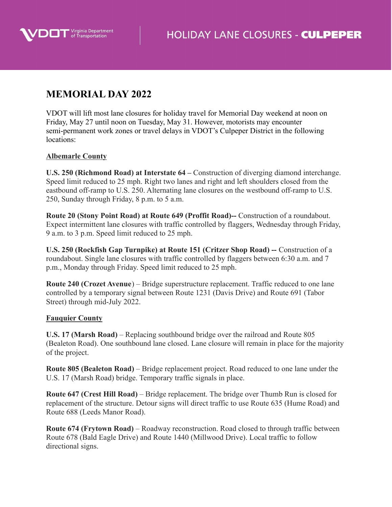

## **MEMORIAL DAY 2022**

VDOT will lift most lane closures for holiday travel for Memorial Day weekend at noon on Friday, May 27 until noon on Tuesday, May 31. However, motorists may encounter semi-permanent work zones or travel delays in VDOT's Culpeper District in the following locations:

## **Albemarle County**

**U.S. 250 (Richmond Road) at Interstate 64 –** Construction of diverging diamond interchange. Speed limit reduced to 25 mph. Right two lanes and right and left shoulders closed from the eastbound off-ramp to U.S. 250. Alternating lane closures on the westbound off-ramp to U.S. 250, Sunday through Friday, 8 p.m. to 5 a.m.

**Route 20 (Stony Point Road) at Route 649 (Proffit Road)--** Construction of a roundabout. Expect intermittent lane closures with traffic controlled by flaggers, Wednesday through Friday, 9 a.m. to 3 p.m. Speed limit reduced to 25 mph.

**U.S. 250 (Rockfish Gap Turnpike) at Route 151 (Critzer Shop Road) --** Construction of a roundabout. Single lane closures with traffic controlled by flaggers between 6:30 a.m. and 7 p.m., Monday through Friday. Speed limit reduced to 25 mph.

**Route 240 (Crozet Avenue**) – Bridge superstructure replacement. Traffic reduced to one lane controlled by a temporary signal between Route 1231 (Davis Drive) and Route 691 (Tabor Street) through mid-July 2022.

## **Fauquier County**

**U.S. 17 (Marsh Road)** – Replacing southbound bridge over the railroad and Route 805 (Bealeton Road). One southbound lane closed. Lane closure will remain in place for the majority of the project.

**Route 805 (Bealeton Road)** – Bridge replacement project. Road reduced to one lane under the U.S. 17 (Marsh Road) bridge. Temporary traffic signals in place.

**Route 647 (Crest Hill Road)** – Bridge replacement. The bridge over Thumb Run is closed for replacement of the structure. Detour signs will direct traffic to use Route 635 (Hume Road) and Route 688 (Leeds Manor Road).

**Route 674 (Frytown Road)** – Roadway reconstruction. Road closed to through traffic between Route 678 (Bald Eagle Drive) and Route 1440 (Millwood Drive). Local traffic to follow directional signs.